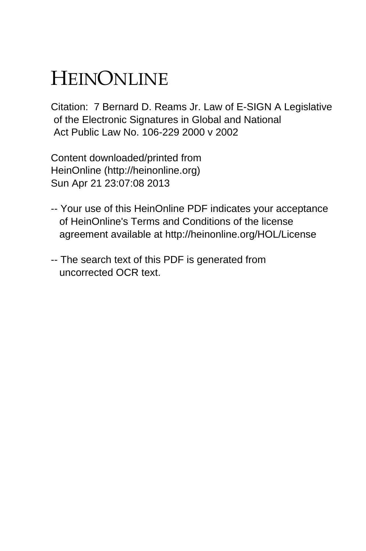# HEINONLINE

Citation: 7 Bernard D. Reams Jr. Law of E-SIGN A Legislative of the Electronic Signatures in Global and National Act Public Law No. 106-229 2000 v 2002

Content downloaded/printed from HeinOnline (http://heinonline.org) Sun Apr 21 23:07:08 2013

- -- Your use of this HeinOnline PDF indicates your acceptance of HeinOnline's Terms and Conditions of the license agreement available at http://heinonline.org/HOL/License
- -- The search text of this PDF is generated from uncorrected OCR text.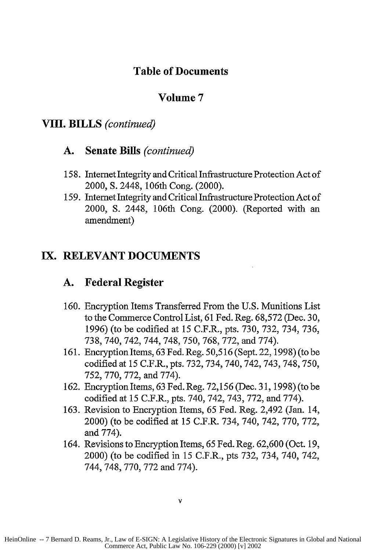#### **Table of Documents**

### **Volume 7**

#### **VIII. BILLS** *(continued)*

#### **A. Senate Bills** *(continued)*

- 158. Internet Integrity and Critical Infrastructure Protection Act of 2000, S. 2448, 106th Cong. (2000).
- 159. Internet Integrity and Critical Infrastructure Protection Act of 2000, S. 2448, 106th Cong. (2000). (Reported with an amendment)

# **IX. RELEVANT DOCUMENTS**

## **A. Federal Register**

- 160. Encryption Items Transferred From the U.S. Munitions List to the Commerce Control List, 61 Fed. Reg. 68,572 (Dec. 30, 1996) (to be codified at 15 C.F.R., pts. **730, 732,** 734, **736,** 738, 740, 742, 744, **748, 750, 768, 772,** and **774).**
- 161. Encryption Items, **63** Fed. Reg. 50,516 (Sept. **22,** 1998) (to be codified at 15 C.F.R., pts. **732,** 734, 740, 742, 743, **748, 750,** 752, **770,** 772, and 774).
- 162. Encryption Items, 63 Fed. Reg. 72,156 (Dec. 31, 1998) (to be codified at 15 C.F.R., pts. 740, 742, 743, 772, and 774).
- 163. Revision to Encryption Items, 65 Fed. Reg. 2,492 (Jan. 14, 2000) (to be codified at 15 C.F.R. 734, 740, 742, 770, 772, and 774).
- 164. Revisions to Encryption Items, 65 Fed. Reg. 62,600 (Oct. 19, 2000) (to be codified in 15 C.F.R., pts 732, 734, 740, 742, 744, 748, 770, 772 and 774).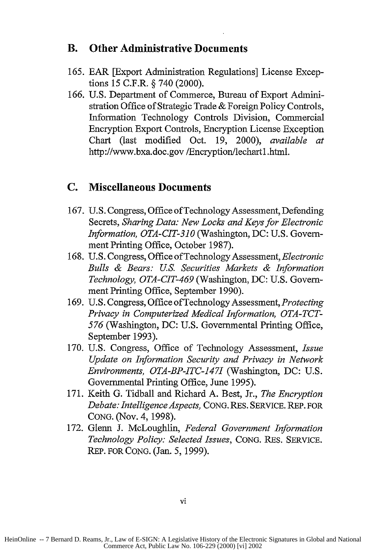#### **B. Other Administrative Documents**

- 165. EAR [Export Administration Regulations] License Exceptions 15 C.F.R. **§** 740 (2000).
- 166. U.S. Department of Commerce, Bureau of Export Administration Office of Strategic Trade & Foreign Policy Controls, Information Technology Controls Division, Commercial Encryption Export Controls, Encryption License Exception Chart (last modified Oct. 19, 2000), *available at* http://www.bxa.doc.gov /Encryption/lechartl .html.

#### **C. Miscellaneous Documents**

- 167. U.S. Congress, Office of Technology Assessment, Defending Secrets, *Sharing Data: New Locks and Keys for Electronic Information, OTA-CIT-310* (Washington, DC: U.S. Government Printing Office, October 1987).
- 168. U.S. Congress, Office of Technology Assessment, *Electronic Bulls & Bears: U.S. Securities Markets & Information Technology, OTA-CIT-469* (Washington, DC: U.S. Government Printing Office, September 1990).
- 169. U.S. Congress, Office of Technology Assessment, *Protecting Privacy in Computerized Medical Information, OTA-TCT-576* (Washington, DC: U.S. Governmental Printing Office, September 1993).
- 170. U.S. Congress, Office of Technology Assessment, *Issue Update on Information Security and Privacy in Network Environments, OTA-BP-ITC-1471* (Washington, DC: U.S. Governmental Printing Office, June 1995).
- 171. Keith G. Tidball and Richard A. Best, Jr., *The Encryption Debate: Intelligence Aspects,* CONG. RES. SERVICE. REP. FOR CONG. (Nov. 4, 1998).
- 172. Glenn J. McLoughlin, *Federal Government Information Technology Policy: Selected Issues,* CONG. RES. SERVICE. REP. FOR CONG. (Jan. 5, 1999).

HeinOnline -- 7 Bernard D. Reams, Jr., Law of E-SIGN: A Legislative History of the Electronic Signatures in Global and National Commerce Act, Public Law No. 106-229 (2000) [vi] 2002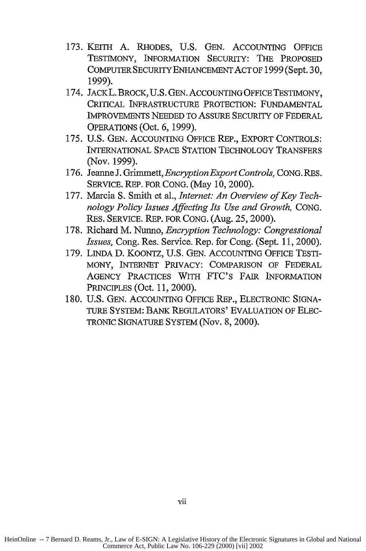- 173. KEITH A. RHODES, U.S. GEN. ACCOUNTING OFFICE TESTIMONY, INFORMATION SECURITY: THE PROPOSED COMPUTER SECURITY ENHANCEMENT ACT OF 1999 (Sept. 30, 1999).
- 174. JACKL. BROCK, U.S. GEN. ACCOUNTING OFFICE TESTIMONY, CRITICAL INFRASTRUCTURE PROTECTION: FUNDAMENTAL IMPROVEMENTS NEEDED TO ASSURE SECURITY OF FEDERAL OPERATIONS (Oct. 6, 1999).
- 175. U.S. GEN. ACCOUNTING OFFICE REP., EXPORT CONTROLS: INTERNATIONAL SPACE STATION **TECHNOLOGY** TRANSFERS (Nov. 1999).
- 176. Jeanne J. Grimmett, *Encryption Export Controls,* CONG. RES. SERVICE. REP. FOR CONG. (May **10,** 2000).
- 177. Marcia S. Smith et al., *Internet: An Overview of Key Technology Policy Issues Affecting Its Use and Growth,* CONG. RES. SERVICE. REP. FOR CONG. (Aug. 25, 2000).
- 178. Richard M. Nunno, *Encryption Technology: Congressional Issues,* Cong. Res. Service. Rep. for Cong. (Sept. 11, 2000).
- 179. LINDA D. KOONTZ, U.S. GEN. ACCOUNTING OFFICE TESTI-MONY, INTERNET PRIVACY: COMPARISON OF FEDERAL AGENCY PRACTICES WITH FTC's FAIR INFORMATION PRINCIPLES (Oct. **11,** 2000).
- 180. U.S. GEN. ACCOUNTING OFFICE REP., ELECTRONIC SIGNA-TURE SYSTEM: BANK REGULATORS' EVALUATION OF ELEC-TRONIC SIGNATURE SYSTEM (Nov. 8,2000).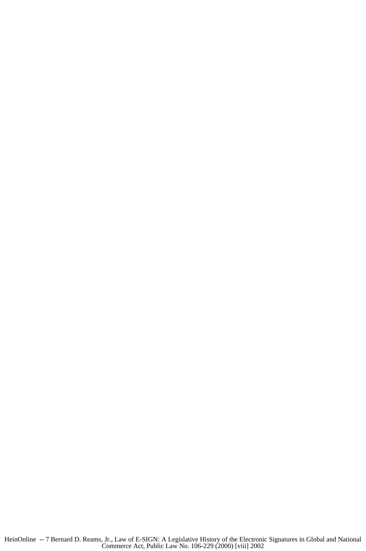HeinOnline -- 7 Bernard D. Reams, Jr., Law of E-SIGN: A Legislative History of the Electronic Signatures in Global and National Commerce Act, Public Law No. 106-229 (2000) [viii] 2002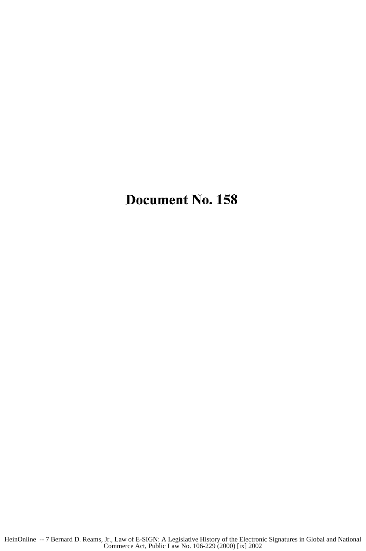# Document No. **158**